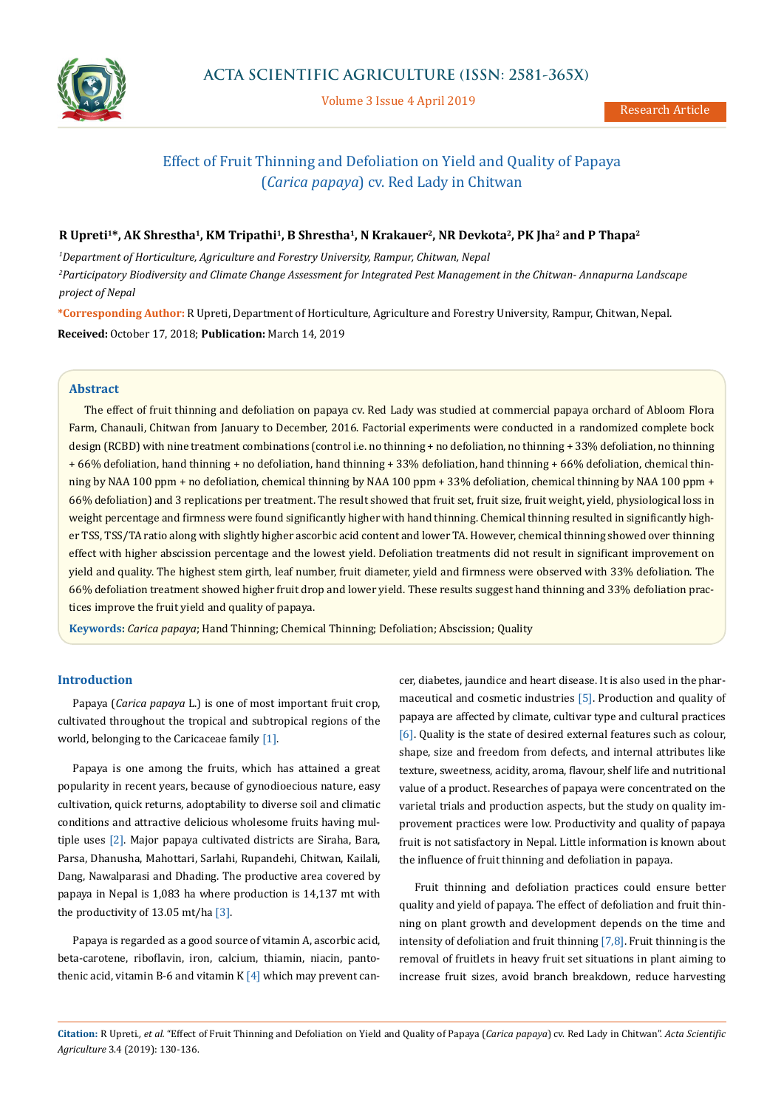

Volume 3 Issue 4 April 2019

# Effect of Fruit Thinning and Defoliation on Yield and Quality of Papaya (*Carica papaya*) cv. Red Lady in Chitwan

### **R Upreti1\*, AK Shrestha1, KM Tripathi1, B Shrestha1, N Krakauer2, NR Devkota2, PK Jha2 and P Thapa2**

*1 Department of Horticulture, Agriculture and Forestry University, Rampur, Chitwan, Nepal 2 Participatory Biodiversity and Climate Change Assessment for Integrated Pest Management in the Chitwan- Annapurna Landscape project of Nepal*

**\*Corresponding Author:** R Upreti, Department of Horticulture, Agriculture and Forestry University, Rampur, Chitwan, Nepal. **Received:** October 17, 2018; **Publication:** March 14, 2019

### **Abstract**

The effect of fruit thinning and defoliation on papaya cv. Red Lady was studied at commercial papaya orchard of Abloom Flora Farm, Chanauli, Chitwan from January to December, 2016. Factorial experiments were conducted in a randomized complete bock design (RCBD) with nine treatment combinations (control i.e. no thinning + no defoliation, no thinning + 33% defoliation, no thinning + 66% defoliation, hand thinning + no defoliation, hand thinning + 33% defoliation, hand thinning + 66% defoliation, chemical thinning by NAA 100 ppm + no defoliation, chemical thinning by NAA 100 ppm + 33% defoliation, chemical thinning by NAA 100 ppm + 66% defoliation) and 3 replications per treatment. The result showed that fruit set, fruit size, fruit weight, yield, physiological loss in weight percentage and firmness were found significantly higher with hand thinning. Chemical thinning resulted in significantly higher TSS, TSS/TA ratio along with slightly higher ascorbic acid content and lower TA. However, chemical thinning showed over thinning effect with higher abscission percentage and the lowest yield. Defoliation treatments did not result in significant improvement on yield and quality. The highest stem girth, leaf number, fruit diameter, yield and firmness were observed with 33% defoliation. The 66% defoliation treatment showed higher fruit drop and lower yield. These results suggest hand thinning and 33% defoliation practices improve the fruit yield and quality of papaya.

**Keywords:** *Carica papaya*; Hand Thinning; Chemical Thinning; Defoliation; Abscission; Quality

### **Introduction**

Papaya (*Carica papaya* L.) is one of most important fruit crop, cultivated throughout the tropical and subtropical regions of the world, belonging to the Caricaceae family [1].

Papaya is one among the fruits, which has attained a great popularity in recent years, because of gynodioecious nature, easy cultivation, quick returns, adoptability to diverse soil and climatic conditions and attractive delicious wholesome fruits having multiple uses [2]. Major papaya cultivated districts are Siraha, Bara, Parsa, Dhanusha, Mahottari, Sarlahi, Rupandehi, Chitwan, Kailali, Dang, Nawalparasi and Dhading. The productive area covered by papaya in Nepal is 1,083 ha where production is 14,137 mt with the productivity of 13.05 mt/ha  $[3]$ .

Papaya is regarded as a good source of vitamin A, ascorbic acid, beta-carotene, riboflavin, iron, calcium, thiamin, niacin, pantothenic acid, vitamin B-6 and vitamin K  $[4]$  which may prevent cancer, diabetes, jaundice and heart disease. It is also used in the pharmaceutical and cosmetic industries [5]. Production and quality of papaya are affected by climate, cultivar type and cultural practices [6]. Quality is the state of desired external features such as colour, shape, size and freedom from defects, and internal attributes like texture, sweetness, acidity, aroma, flavour, shelf life and nutritional value of a product. Researches of papaya were concentrated on the varietal trials and production aspects, but the study on quality improvement practices were low. Productivity and quality of papaya fruit is not satisfactory in Nepal. Little information is known about the influence of fruit thinning and defoliation in papaya.

Fruit thinning and defoliation practices could ensure better quality and yield of papaya. The effect of defoliation and fruit thinning on plant growth and development depends on the time and intensity of defoliation and fruit thinning  $[7,8]$ . Fruit thinning is the removal of fruitlets in heavy fruit set situations in plant aiming to increase fruit sizes, avoid branch breakdown, reduce harvesting

**Citation:** R Upreti*., et al.* "Effect of Fruit Thinning and Defoliation on Yield and Quality of Papaya (*Carica papaya*) cv. Red Lady in Chitwan". *Acta Scientific Agriculture* 3.4 (2019): 130-136.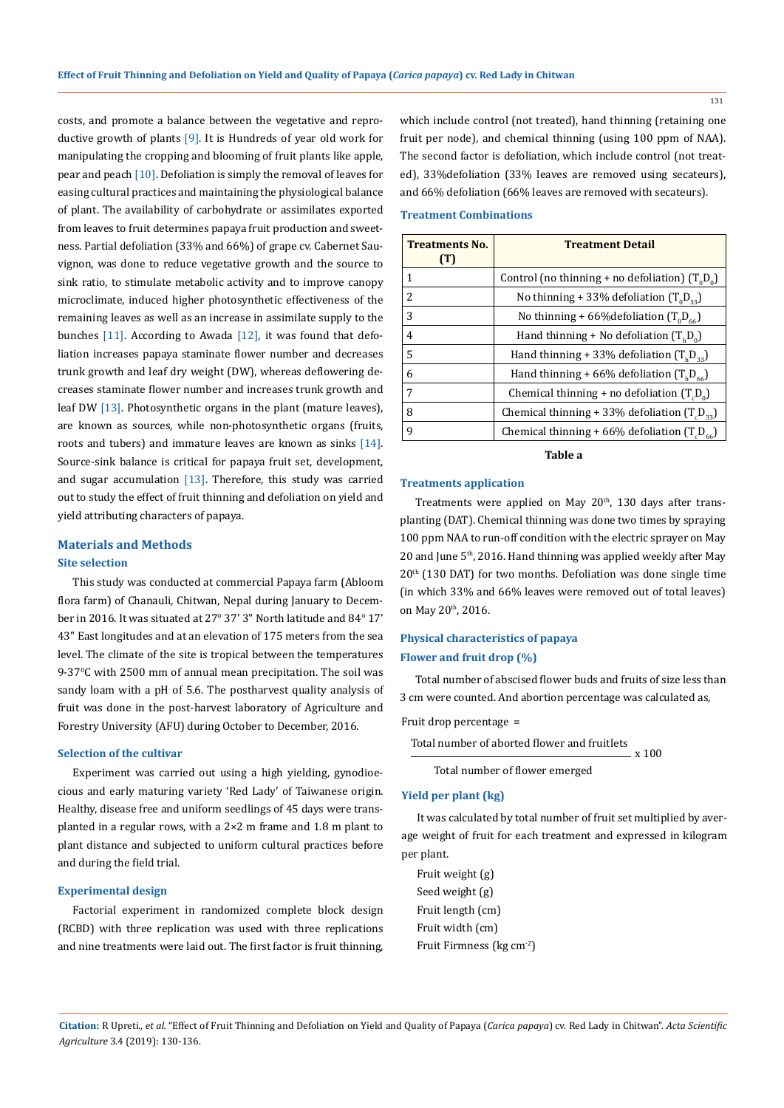costs, and promote a balance between the vegetative and reproductive growth of plants [9]. It is Hundreds of year old work for manipulating the cropping and blooming of fruit plants like apple, pear and peach [10]. Defoliation is simply the removal of leaves for easing cultural practices and maintaining the physiological balance of plant. The availability of carbohydrate or assimilates exported from leaves to fruit determines papaya fruit production and sweetness. Partial defoliation (33% and 66%) of grape cv. Cabernet Sauvignon, was done to reduce vegetative growth and the source to sink ratio, to stimulate metabolic activity and to improve canopy microclimate, induced higher photosynthetic effectiveness of the remaining leaves as well as an increase in assimilate supply to the bunches [11]. According to Awada [12], it was found that defoliation increases papaya staminate flower number and decreases trunk growth and leaf dry weight (DW), whereas deflowering decreases staminate flower number and increases trunk growth and leaf DW [13]. Photosynthetic organs in the plant (mature leaves), are known as sources, while non-photosynthetic organs (fruits, roots and tubers) and immature leaves are known as sinks [14]. Source-sink balance is critical for papaya fruit set, development, and sugar accumulation  $[13]$ . Therefore, this study was carried out to study the effect of fruit thinning and defoliation on yield and yield attributing characters of papaya.

# **Materials and Methods Site selection**

This study was conducted at commercial Papaya farm (Abloom flora farm) of Chanauli, Chitwan, Nepal during January to December in 2016. It was situated at 27° 37' 3" North latitude and 84° 17' 43" East longitudes and at an elevation of 175 meters from the sea level. The climate of the site is tropical between the temperatures 9-370 C with 2500 mm of annual mean precipitation. The soil was sandy loam with a pH of 5.6. The postharvest quality analysis of fruit was done in the post-harvest laboratory of Agriculture and Forestry University (AFU) during October to December, 2016.

#### **Selection of the cultivar**

Experiment was carried out using a high yielding, gynodioecious and early maturing variety 'Red Lady' of Taiwanese origin. Healthy, disease free and uniform seedlings of 45 days were transplanted in a regular rows, with a 2×2 m frame and 1.8 m plant to plant distance and subjected to uniform cultural practices before and during the field trial.

### **Experimental design**

Factorial experiment in randomized complete block design (RCBD) with three replication was used with three replications and nine treatments were laid out. The first factor is fruit thinning, which include control (not treated), hand thinning (retaining one fruit per node), and chemical thinning (using 100 ppm of NAA). The second factor is defoliation, which include control (not treated), 33%defoliation (33% leaves are removed using secateurs), and 66% defoliation (66% leaves are removed with secateurs).

# **Treatment Combinations**

| <b>Treatments No.</b><br>(T) | <b>Treatment Detail</b>                                      |
|------------------------------|--------------------------------------------------------------|
| 1                            | Control (no thinning + no defoliation) $(T_0D_0)$            |
| $\mathcal{L}$                | No thinning + 33% defoliation $(T_0D_{22})$                  |
| 3                            | No thinning + 66% defoliation $(T_0D_{\epsilon\epsilon})$    |
| 4                            | Hand thinning + No defoliation $(T_b D_o)$                   |
| 5                            | Hand thinning + 33% defoliation $(T_b D_{33})$               |
| 6                            | Hand thinning + 66% defoliation $(T_b D_{\epsilon\epsilon})$ |
| 7                            | Chemical thinning + no defoliation $(T,D_0)$                 |
| 8                            | Chemical thinning + 33% defoliation $(T_pD_{33})$            |
| 9                            | Chemical thinning + 66% defoliation $(T_p D_{66})$           |

### **Table a**

#### **Treatments application**

Treatments were applied on May 20<sup>th</sup>, 130 days after transplanting (DAT). Chemical thinning was done two times by spraying 100 ppm NAA to run-off condition with the electric sprayer on May 20 and June 5<sup>th</sup>, 2016. Hand thinning was applied weekly after May 20th (130 DAT) for two months. Defoliation was done single time (in which 33% and 66% leaves were removed out of total leaves) on May 20th, 2016.

# **Physical characteristics of papaya**

### **Flower and fruit drop (%)**

Total number of abscised flower buds and fruits of size less than 3 cm were counted. And abortion percentage was calculated as,

Fruit drop percentage =

```
Total number of aborted flower and fruitlets
                                x 100
```
Total number of flower emerged

#### **Yield per plant (kg)**

It was calculated by total number of fruit set multiplied by average weight of fruit for each treatment and expressed in kilogram per plant.

Fruit weight (g) Seed weight (g) Fruit length (cm) Fruit width (cm) Fruit Firmness (kg cm-2)

**Citation:** R Upreti*., et al.* "Effect of Fruit Thinning and Defoliation on Yield and Quality of Papaya (*Carica papaya*) cv. Red Lady in Chitwan". *Acta Scientific Agriculture* 3.4 (2019): 130-136.

131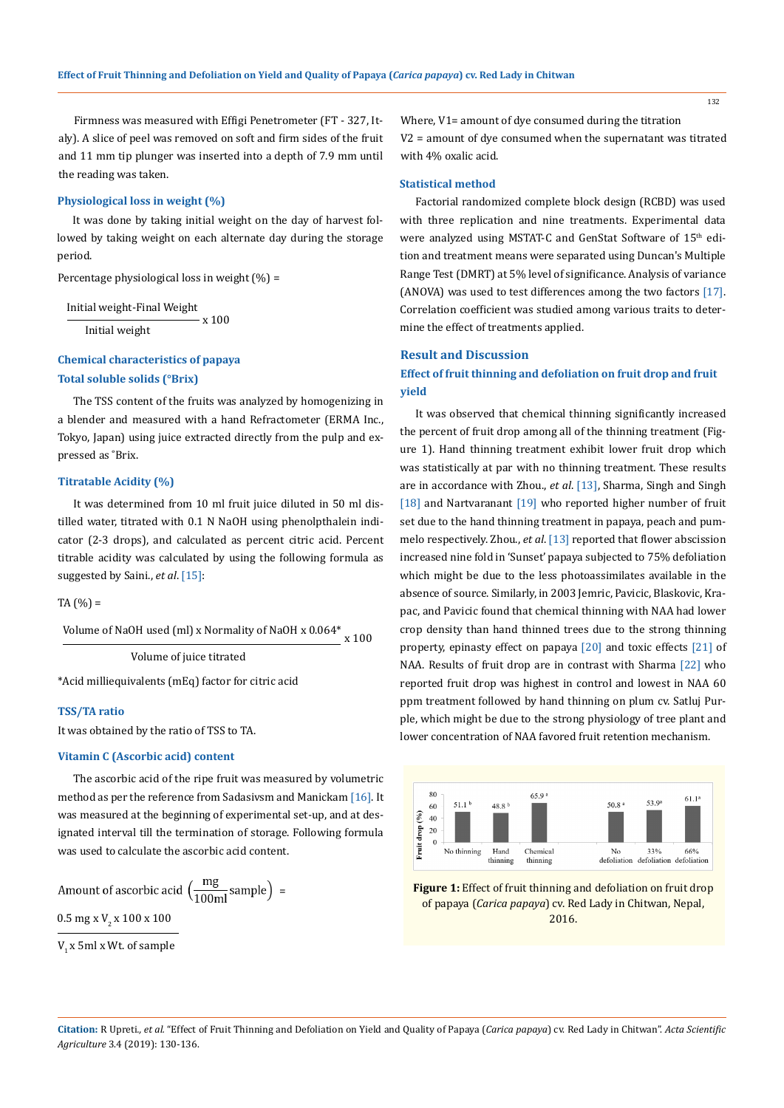Firmness was measured with Effigi Penetrometer (FT - 327, Italy). A slice of peel was removed on soft and firm sides of the fruit and 11 mm tip plunger was inserted into a depth of 7.9 mm until the reading was taken.

### **Physiological loss in weight (%)**

It was done by taking initial weight on the day of harvest followed by taking weight on each alternate day during the storage period.

Percentage physiological loss in weight (%) =

Initial weight-Final Weight Initial weight x 100

# **Chemical characteristics of papaya Total soluble solids (°Brix)**

The TSS content of the fruits was analyzed by homogenizing in a blender and measured with a hand Refractometer (ERMA Inc., Tokyo, Japan) using juice extracted directly from the pulp and expressed as ˚Brix.

#### **Titratable Acidity (%)**

It was determined from 10 ml fruit juice diluted in 50 ml distilled water, titrated with 0.1 N NaOH using phenolpthalein indicator (2-3 drops), and calculated as percent citric acid. Percent titrable acidity was calculated by using the following formula as suggested by Saini., *et al*. [15]:

 $TA(%) =$ 

Volume of NaOH used (ml) x Normality of NaOH x 0.064\* x 100

Volume of juice titrated

\*Acid milliequivalents (mEq) factor for citric acid

#### **TSS/TA ratio**

It was obtained by the ratio of TSS to TA.

#### **Vitamin C (Ascorbic acid) content**

The ascorbic acid of the ripe fruit was measured by volumetric method as per the reference from Sadasivsm and Manickam [16]. It was measured at the beginning of experimental set-up, and at designated interval till the termination of storage. Following formula was used to calculate the ascorbic acid content.

Amount of ascorbic acid 
$$
\left(\frac{mg}{100ml} \text{sample}\right) =
$$

0.5 mg x V<sub>2</sub> x 100 x 100

V<sub>1</sub> x 5ml x Wt. of sample

Where, V1= amount of dye consumed during the titration V2 = amount of dye consumed when the supernatant was titrated with 4% oxalic acid.

#### **Statistical method**

Factorial randomized complete block design (RCBD) was used with three replication and nine treatments. Experimental data were analyzed using MSTAT-C and GenStat Software of 15<sup>th</sup> edition and treatment means were separated using Duncan's Multiple Range Test (DMRT) at 5% level of significance. Analysis of variance (ANOVA) was used to test differences among the two factors [17]. Correlation coefficient was studied among various traits to determine the effect of treatments applied.

### **Result and Discussion**

# **Effect of fruit thinning and defoliation on fruit drop and fruit yield**

It was observed that chemical thinning significantly increased the percent of fruit drop among all of the thinning treatment (Figure 1). Hand thinning treatment exhibit lower fruit drop which was statistically at par with no thinning treatment. These results are in accordance with Zhou., *et al*. [13], Sharma, Singh and Singh [18] and Nartvaranant [19] who reported higher number of fruit set due to the hand thinning treatment in papaya, peach and pummelo respectively. Zhou., *et al*. [13] reported that flower abscission increased nine fold in 'Sunset' papaya subjected to 75% defoliation which might be due to the less photoassimilates available in the absence of source. Similarly, in 2003 Jemric, Pavicic, Blaskovic, Krapac, and Pavicic found that chemical thinning with NAA had lower crop density than hand thinned trees due to the strong thinning property, epinasty effect on papaya [20] and toxic effects [21] of NAA. Results of fruit drop are in contrast with Sharma [22] who reported fruit drop was highest in control and lowest in NAA 60 ppm treatment followed by hand thinning on plum cv. Satluj Purple, which might be due to the strong physiology of tree plant and lower concentration of NAA favored fruit retention mechanism.



**Figure 1:** Effect of fruit thinning and defoliation on fruit drop of papaya (*Carica papaya*) cv. Red Lady in Chitwan, Nepal, 2016.

**Citation:** R Upreti*., et al.* "Effect of Fruit Thinning and Defoliation on Yield and Quality of Papaya (*Carica papaya*) cv. Red Lady in Chitwan". *Acta Scientific Agriculture* 3.4 (2019): 130-136.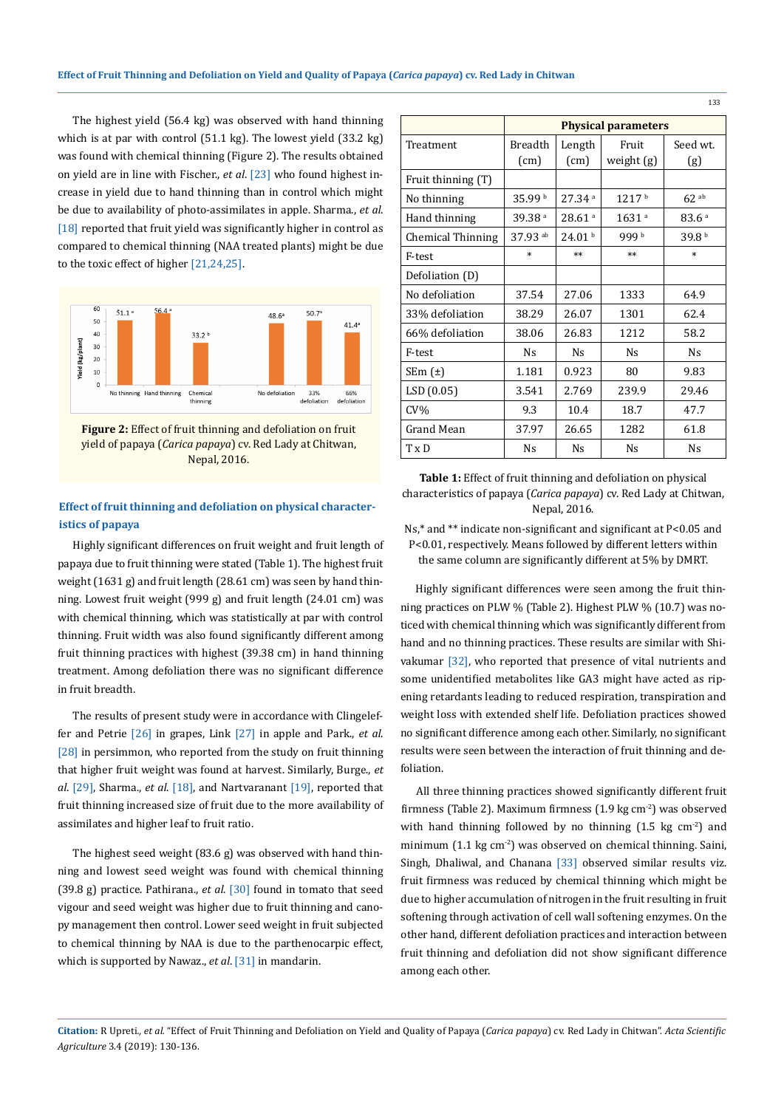The highest yield (56.4 kg) was observed with hand thinning which is at par with control (51.1 kg). The lowest yield (33.2 kg) was found with chemical thinning (Figure 2). The results obtained on yield are in line with Fischer., *et al*. [23] who found highest increase in yield due to hand thinning than in control which might be due to availability of photo-assimilates in apple. Sharma., *et al*. [18] reported that fruit yield was significantly higher in control as compared to chemical thinning (NAA treated plants) might be due to the toxic effect of higher [21,24,25].



**Figure 2:** Effect of fruit thinning and defoliation on fruit yield of papaya (*Carica papaya*) cv. Red Lady at Chitwan, Nepal, 2016.

# **Effect of fruit thinning and defoliation on physical characteristics of papaya**

Highly significant differences on fruit weight and fruit length of papaya due to fruit thinning were stated (Table 1). The highest fruit weight (1631 g) and fruit length (28.61 cm) was seen by hand thinning. Lowest fruit weight (999 g) and fruit length (24.01 cm) was with chemical thinning, which was statistically at par with control thinning. Fruit width was also found significantly different among fruit thinning practices with highest (39.38 cm) in hand thinning treatment. Among defoliation there was no significant difference in fruit breadth.

The results of present study were in accordance with Clingeleffer and Petrie [26] in grapes, Link [27] in apple and Park., *et al*. [28] in persimmon, who reported from the study on fruit thinning that higher fruit weight was found at harvest. Similarly, Burge., *et al*. [29], Sharma., *et al*. [18], and Nartvaranant [19], reported that fruit thinning increased size of fruit due to the more availability of assimilates and higher leaf to fruit ratio.

The highest seed weight (83.6 g) was observed with hand thinning and lowest seed weight was found with chemical thinning (39.8 g) practice. Pathirana., *et al*. [30] found in tomato that seed vigour and seed weight was higher due to fruit thinning and canopy management then control. Lower seed weight in fruit subjected to chemical thinning by NAA is due to the parthenocarpic effect, which is supported by Nawaz., *et al*. [31] in mandarin.

|                          | <b>Physical parameters</b> |                      |                      |                      |
|--------------------------|----------------------------|----------------------|----------------------|----------------------|
| Treatment                | Breadth                    | Length               | Fruit                | Seed wt.             |
|                          | (cm)                       | (cm)                 | weight (g)           | (g)                  |
| Fruit thinning (T)       |                            |                      |                      |                      |
| No thinning              | 35.99 b                    | $27.34$ <sup>a</sup> | 1217 <sup>b</sup>    | $62$ <sup>ab</sup>   |
| Hand thinning            | 39.38 <sup>a</sup>         | 28.61 <sup>a</sup>   | 1631 <sup>a</sup>    | 83.6 <sup>a</sup>    |
| <b>Chemical Thinning</b> | $37.93$ <sup>ab</sup>      | 24.01 <sup>b</sup>   | 999b                 | 39.8 <sup>b</sup>    |
| F-test                   | $\ast$                     | $**$                 | $**$                 | $\ast$               |
| Defoliation (D)          |                            |                      |                      |                      |
| No defoliation           | 37.54                      | 27.06                | 1333                 | 64.9                 |
| 33% defoliation          | 38.29                      | 26.07                | 1301                 | 62.4                 |
| 66% defoliation          | 38.06                      | 26.83                | 1212                 | 58.2                 |
| F-test                   | <b>Ns</b>                  | <b>N<sub>S</sub></b> | <b>Ns</b>            | <b>N<sub>S</sub></b> |
| SEm $(\pm)$              | 1.181                      | 0.923                | 80                   | 9.83                 |
| LSD (0.05)               | 3.541                      | 2.769                | 239.9                | 29.46                |
| $CV\%$                   | 9.3                        | 10.4                 | 18.7                 | 47.7                 |
| Grand Mean               | 37.97                      | 26.65                | 1282                 | 61.8                 |
| $T \times D$             | N <sub>S</sub>             | <b>N<sub>S</sub></b> | <b>N<sub>S</sub></b> | <b>N<sub>S</sub></b> |

**Table 1:** Effect of fruit thinning and defoliation on physical characteristics of papaya (*Carica papaya*) cv. Red Lady at Chitwan, Nepal, 2016.

Ns,\* and \*\* indicate non-significant and significant at P<0.05 and P<0.01, respectively. Means followed by different letters within the same column are significantly different at 5% by DMRT.

Highly significant differences were seen among the fruit thinning practices on PLW % (Table 2). Highest PLW % (10.7) was noticed with chemical thinning which was significantly different from hand and no thinning practices. These results are similar with Shivakumar [32], who reported that presence of vital nutrients and some unidentified metabolites like GA3 might have acted as ripening retardants leading to reduced respiration, transpiration and weight loss with extended shelf life. Defoliation practices showed no significant difference among each other. Similarly, no significant results were seen between the interaction of fruit thinning and defoliation.

All three thinning practices showed significantly different fruit firmness (Table 2). Maximum firmness  $(1.9 \text{ kg cm}^2)$  was observed with hand thinning followed by no thinning  $(1.5 \text{ kg cm}^2)$  and minimum (1.1 kg cm<sup>-2</sup>) was observed on chemical thinning. Saini, Singh, Dhaliwal, and Chanana [33] observed similar results viz. fruit firmness was reduced by chemical thinning which might be due to higher accumulation of nitrogen in the fruit resulting in fruit softening through activation of cell wall softening enzymes. On the other hand, different defoliation practices and interaction between fruit thinning and defoliation did not show significant difference among each other.

**Citation:** R Upreti*., et al.* "Effect of Fruit Thinning and Defoliation on Yield and Quality of Papaya (*Carica papaya*) cv. Red Lady in Chitwan". *Acta Scientific Agriculture* 3.4 (2019): 130-136.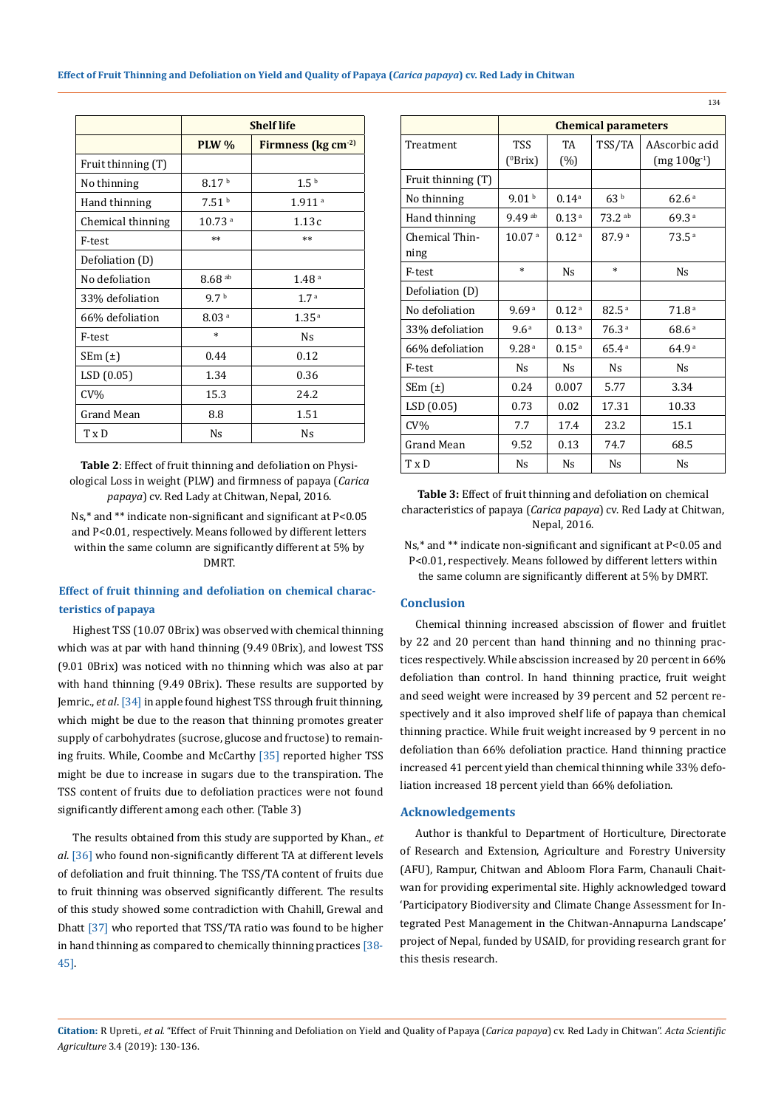|                    | <b>Shelf life</b>    |                              |  |  |
|--------------------|----------------------|------------------------------|--|--|
|                    | <b>PLW %</b>         | Firmness ( $kg \, cm^{-2}$ ) |  |  |
| Fruit thinning (T) |                      |                              |  |  |
| No thinning        | 8.17 <sup>b</sup>    | 1.5 <sup>b</sup>             |  |  |
| Hand thinning      | 7.51 <sup>b</sup>    | 1.911 <sup>a</sup>           |  |  |
| Chemical thinning  | $10.73$ <sup>a</sup> | 1.13c                        |  |  |
| F-test             | $**$                 | $**$                         |  |  |
| Defoliation (D)    |                      |                              |  |  |
| No defoliation     | $8.68$ <sup>ab</sup> | 1.48 <sup>a</sup>            |  |  |
| 33% defoliation    | 9.7 <sup>b</sup>     | 1.7 <sup>a</sup>             |  |  |
| 66% defoliation    | 8.03 <sup>a</sup>    | 1.35 <sup>a</sup>            |  |  |
| F-test             | $\ast$               | Ns                           |  |  |
| SEm $(\pm)$        | 0.44                 | 0.12                         |  |  |
| LSD (0.05)         | 1.34                 | 0.36                         |  |  |
| $CV\%$             | 15.3                 | 24.2                         |  |  |
| Grand Mean         | 8.8                  | 1.51                         |  |  |
| TxD                | Ns                   | Ns                           |  |  |

**Table 2**: Effect of fruit thinning and defoliation on Physiological Loss in weight (PLW) and firmness of papaya (*Carica papaya*) cv. Red Lady at Chitwan, Nepal, 2016.

Ns,\* and \*\* indicate non-significant and significant at P<0.05 and P<0.01, respectively. Means followed by different letters within the same column are significantly different at 5% by DMRT.

# **Effect of fruit thinning and defoliation on chemical characteristics of papaya**

Highest TSS (10.07 0Brix) was observed with chemical thinning which was at par with hand thinning (9.49 0Brix), and lowest TSS (9.01 0Brix) was noticed with no thinning which was also at par with hand thinning (9.49 0Brix). These results are supported by Jemric., *et al*. [34] in apple found highest TSS through fruit thinning, which might be due to the reason that thinning promotes greater supply of carbohydrates (sucrose, glucose and fructose) to remaining fruits. While, Coombe and McCarthy [35] reported higher TSS might be due to increase in sugars due to the transpiration. The TSS content of fruits due to defoliation practices were not found significantly different among each other. (Table 3)

The results obtained from this study are supported by Khan., *et al*. [36] who found non-significantly different TA at different levels of defoliation and fruit thinning. The TSS/TA content of fruits due to fruit thinning was observed significantly different. The results of this study showed some contradiction with Chahill, Grewal and Dhatt [37] who reported that TSS/TA ratio was found to be higher in hand thinning as compared to chemically thinning practices [38- 45].

|                        | <b>Chemical parameters</b> |                      |                   |                   |
|------------------------|----------------------------|----------------------|-------------------|-------------------|
| Treatment              | <b>TSS</b>                 | <b>TA</b>            | TSS/TA            | AAscorbic acid    |
|                        | $(^0Brix)$                 | (%)                  |                   | $(mg 100g-1)$     |
| Fruit thinning (T)     |                            |                      |                   |                   |
| No thinning            | 9.01 <sup>b</sup>          | $0.14^{a}$           | 63 <sup>b</sup>   | 62.6 <sup>a</sup> |
| Hand thinning          | 9.49 ab                    | 0.13 <sup>a</sup>    | $73.2$ ab         | 69.3a             |
| Chemical Thin-<br>ning | 10.07 <sup>a</sup>         | 0.12 <sup>a</sup>    | 87.9 <sup>a</sup> | 73.5 <sup>a</sup> |
| F-test                 | $\ast$                     | <b>N<sub>S</sub></b> | $\ast$            | Ns.               |
| Defoliation (D)        |                            |                      |                   |                   |
| No defoliation         | 9.69 <sup>a</sup>          | 0.12 <sup>a</sup>    | 82.5 <sup>a</sup> | 71.8 <sup>a</sup> |
| 33% defoliation        | 9.6 <sup>a</sup>           | 0.13 <sup>a</sup>    | 76.3 <sup>a</sup> | 68.6 <sup>a</sup> |
| 66% defoliation        | 9.28 <sup>a</sup>          | 0.15 <sup>a</sup>    | 65.4a             | 64.9 <sup>a</sup> |
| F-test                 | Ns.                        | Ns.                  | Ns.               | Ns.               |
| SEm $(\pm)$            | 0.24                       | 0.007                | 5.77              | 3.34              |
| LSD(0.05)              | 0.73                       | 0.02                 | 17.31             | 10.33             |
| $CV\%$                 | 7.7                        | 17.4                 | 23.2              | 15.1              |
| Grand Mean             | 9.52                       | 0.13                 | 74.7              | 68.5              |
| T x D                  | <b>Ns</b>                  | <b>N<sub>S</sub></b> | Ns.               | <b>Ns</b>         |

**Table 3:** Effect of fruit thinning and defoliation on chemical characteristics of papaya (*Carica papaya*) cv. Red Lady at Chitwan, Nepal, 2016.

Ns,\* and \*\* indicate non-significant and significant at P<0.05 and P<0.01, respectively. Means followed by different letters within the same column are significantly different at 5% by DMRT.

### **Conclusion**

Chemical thinning increased abscission of flower and fruitlet by 22 and 20 percent than hand thinning and no thinning practices respectively. While abscission increased by 20 percent in 66% defoliation than control. In hand thinning practice, fruit weight and seed weight were increased by 39 percent and 52 percent respectively and it also improved shelf life of papaya than chemical thinning practice. While fruit weight increased by 9 percent in no defoliation than 66% defoliation practice. Hand thinning practice increased 41 percent yield than chemical thinning while 33% defoliation increased 18 percent yield than 66% defoliation.

### **Acknowledgements**

Author is thankful to Department of Horticulture, Directorate of Research and Extension, Agriculture and Forestry University (AFU), Rampur, Chitwan and Abloom Flora Farm, Chanauli Chaitwan for providing experimental site. Highly acknowledged toward 'Participatory Biodiversity and Climate Change Assessment for Integrated Pest Management in the Chitwan-Annapurna Landscape' project of Nepal, funded by USAID, for providing research grant for this thesis research.

**Citation:** R Upreti*., et al.* "Effect of Fruit Thinning and Defoliation on Yield and Quality of Papaya (*Carica papaya*) cv. Red Lady in Chitwan". *Acta Scientific Agriculture* 3.4 (2019): 130-136.

134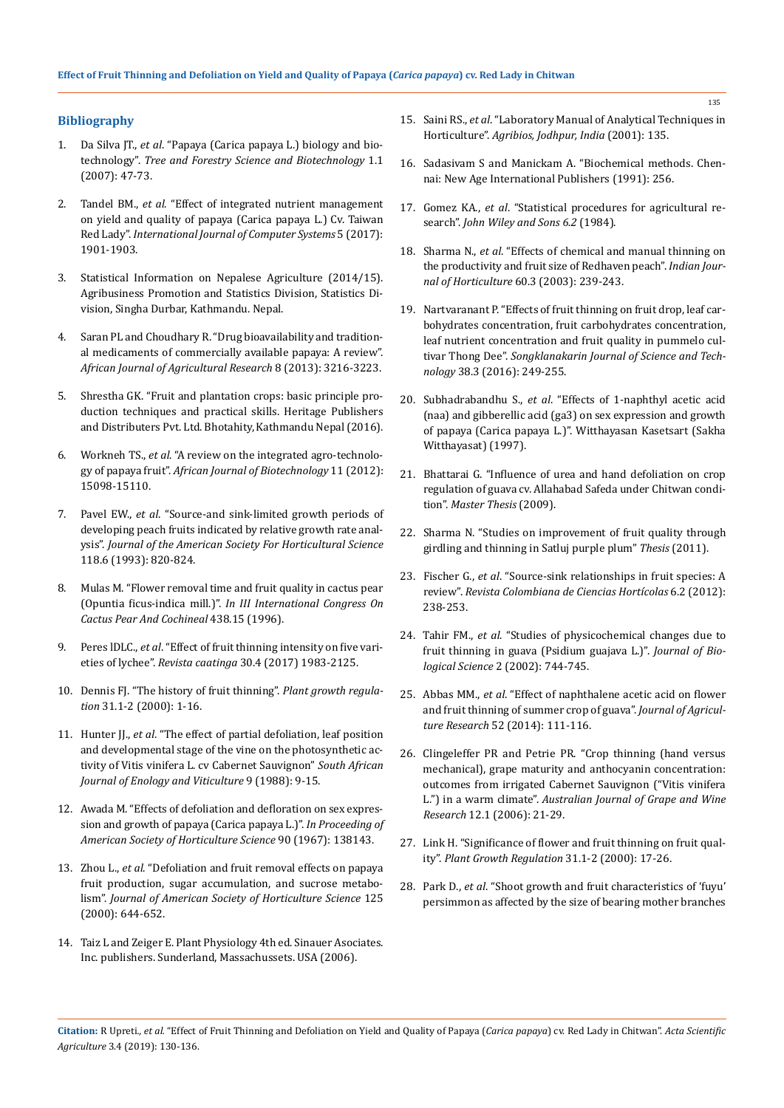### **Bibliography**

- 1. Da Silva JT., *et al*[. "Papaya \(Carica papaya L.\) biology and bio](http://www.globalsciencebooks.info/Online/GSBOnline/images/0712/TFSB_1(1)/TFSB_1(1)47-73o.pdf)technology". *[Tree and Forestry Science and Biotechnology](http://www.globalsciencebooks.info/Online/GSBOnline/images/0712/TFSB_1(1)/TFSB_1(1)47-73o.pdf)* 1.1 [\(2007\): 47-73.](http://www.globalsciencebooks.info/Online/GSBOnline/images/0712/TFSB_1(1)/TFSB_1(1)47-73o.pdf)
- 2. Tandel BM., *et al*[. "Effect of integrated nutrient management](http://www.chemijournal.com/archives/2017/vol5issue4/PartAB/5-4-309-263.pdf)  [on yield and quality of papaya \(Carica papaya L.\) Cv. Taiwan](http://www.chemijournal.com/archives/2017/vol5issue4/PartAB/5-4-309-263.pdf)  Red Lady". *[International Journal of Computer Systems](http://www.chemijournal.com/archives/2017/vol5issue4/PartAB/5-4-309-263.pdf)* 5 (2017): [1901-1903.](http://www.chemijournal.com/archives/2017/vol5issue4/PartAB/5-4-309-263.pdf)
- 3. Statistical Information on Nepalese Agriculture (2014/15). Agribusiness Promotion and Statistics Division, Statistics Division, Singha Durbar, Kathmandu. Nepal.
- 4. [Saran PL and Choudhary R. "Drug bioavailability and tradition](https://academicjournals.org/journal/AJAR/article-abstract/4DD547035589)[al medicaments of commercially available papaya: A review".](https://academicjournals.org/journal/AJAR/article-abstract/4DD547035589)  *[African Journal of Agricultural Research](https://academicjournals.org/journal/AJAR/article-abstract/4DD547035589)* 8 (2013): 3216-3223.
- 5. Shrestha GK. "Fruit and plantation crops: basic principle production techniques and practical skills. Heritage Publishers and Distributers Pvt. Ltd. Bhotahity, Kathmandu Nepal (2016).
- 6. Workneh TS., *et al*[. "A review on the integrated agro-technolo](https://www.ajol.info/index.php/ajb/article/view/129498)gy of papaya fruit". *[African Journal of Biotechnology](https://www.ajol.info/index.php/ajb/article/view/129498)* 11 (2012): [15098-15110.](https://www.ajol.info/index.php/ajb/article/view/129498)
- 7. Pavel EW., *et al*[. "Source-and sink-limited growth periods of](https://www.researchgate.net/publication/268376363_Source-and_Sink-limited_Growth_Periods_of_Developing_Peach_Fruits_Indicated_by_Relative_Growth_Rate_Analysis) [developing peach fruits indicated by relative growth rate anal](https://www.researchgate.net/publication/268376363_Source-and_Sink-limited_Growth_Periods_of_Developing_Peach_Fruits_Indicated_by_Relative_Growth_Rate_Analysis)ysis". *[Journal of the American Society For Horticultural Science](https://www.researchgate.net/publication/268376363_Source-and_Sink-limited_Growth_Periods_of_Developing_Peach_Fruits_Indicated_by_Relative_Growth_Rate_Analysis)* [118.6 \(1993\): 820-824.](https://www.researchgate.net/publication/268376363_Source-and_Sink-limited_Growth_Periods_of_Developing_Peach_Fruits_Indicated_by_Relative_Growth_Rate_Analysis)
- 8. [Mulas M. "Flower removal time and fruit quality in cactus pear](https://www.actahort.org/books/438/438_15.htm)  (Opuntia ficus-indica mill.)". *[In III International Congress On](https://www.actahort.org/books/438/438_15.htm)  [Cactus Pear And Cochineal](https://www.actahort.org/books/438/438_15.htm)* 438.15 (1996).
- 9. Peres lDLC., *et al*[. "Effect of fruit thinning intensity on five vari](http://www.scielo.br/scielo.php?script=sci_arttext&pid=S1983-21252017000401079)eties of lychee". *Revista caatinga* [30.4 \(2017\) 1983-2125.](http://www.scielo.br/scielo.php?script=sci_arttext&pid=S1983-21252017000401079)
- 10. [Dennis FJ. "The history of fruit thinning".](https://link.springer.com/article/10.1023/A:1006330009160) *Plant growth regulation* [31.1-2 \(2000\): 1-16.](https://link.springer.com/article/10.1023/A:1006330009160)
- 11. Hunter JJ., *et al*[. "The effect of partial defoliation, leaf position](https://www.researchgate.net/publication/262946845_The_effect_of_partial_defoliation_leaf_position_and_developmental_stage_of_the_vine_on_photosynthetic_activity_of_Vitis_vinifera_L_cv_Cabernet_Sauvignon)  [and developmental stage of the vine on the photosynthetic ac](https://www.researchgate.net/publication/262946845_The_effect_of_partial_defoliation_leaf_position_and_developmental_stage_of_the_vine_on_photosynthetic_activity_of_Vitis_vinifera_L_cv_Cabernet_Sauvignon)[tivity of Vitis vinifera L. cv Cabernet Sauvignon"](https://www.researchgate.net/publication/262946845_The_effect_of_partial_defoliation_leaf_position_and_developmental_stage_of_the_vine_on_photosynthetic_activity_of_Vitis_vinifera_L_cv_Cabernet_Sauvignon) *South African [Journal of Enology and Viticulture](https://www.researchgate.net/publication/262946845_The_effect_of_partial_defoliation_leaf_position_and_developmental_stage_of_the_vine_on_photosynthetic_activity_of_Vitis_vinifera_L_cv_Cabernet_Sauvignon)* 9 (1988): 9-15.
- 12. Awada M. "Effects of defoliation and defloration on sex expression and growth of papaya (Carica papaya L.)". *In Proceeding of American Society of Horticulture Science* 90 (1967): 138143.
- 13. Zhou L., *et al*[. "Defoliation and fruit removal effects on papaya](https://www.researchgate.net/publication/267771366_Defoliation_and_Fruit_Removal_Effects_on_Papaya_Fruit_Production_Sugar_Accumulation_and_Sucrose_Metabolism)  [fruit production, sugar accumulation, and sucrose metabo](https://www.researchgate.net/publication/267771366_Defoliation_and_Fruit_Removal_Effects_on_Papaya_Fruit_Production_Sugar_Accumulation_and_Sucrose_Metabolism)lism". *[Journal of American Society of Horticulture Science](https://www.researchgate.net/publication/267771366_Defoliation_and_Fruit_Removal_Effects_on_Papaya_Fruit_Production_Sugar_Accumulation_and_Sucrose_Metabolism)* 125 [\(2000\): 644-652.](https://www.researchgate.net/publication/267771366_Defoliation_and_Fruit_Removal_Effects_on_Papaya_Fruit_Production_Sugar_Accumulation_and_Sucrose_Metabolism)
- 14. Taiz L and Zeiger E. Plant Physiology 4th ed. Sinauer Asociates. Inc. publishers. Sunderland, Massachussets. USA (2006).
- 15. Saini RS., *et al*[. "Laboratory Manual of Analytical Techniques in](https://www.abebooks.co.uk/book-search/title/laboratory-manual-of-analytical-techniques-in-horticulture/author/r-s-saini-k-d-sharma/)  Horticulture". *[Agribios, Jodhpur, India](https://www.abebooks.co.uk/book-search/title/laboratory-manual-of-analytical-techniques-in-horticulture/author/r-s-saini-k-d-sharma/)* (2001): 135.
- 16. Sadasivam S and Manickam A. "Biochemical methods. Chennai: New Age International Publishers (1991): 256.
- 17. Gomez KA., *et al*. "Statistical procedures for agricultural research". *John Wiley and Sons 6.2* (1984).
- 18. Sharma N., *et al*[. "Effects of chemical and manual thinning on](https://eurekamag.com/research/004/132/004132049.php) [the productivity and fruit size of Redhaven peach".](https://eurekamag.com/research/004/132/004132049.php) *Indian Journal of Horticulture* [60.3 \(2003\): 239-243.](https://eurekamag.com/research/004/132/004132049.php)
- 19. [Nartvaranant P. "Effects of fruit thinning on fruit drop, leaf car](https://www.researchgate.net/publication/305263292_Effects_of_fruit_thinning_on_fruit_drop_leaf_carbohydrates_concentration_fruit_carbohydrates_concentration_leaf_nutrient_concentration_and_fruit_quality_in_Pummelo_cultivar_Thong_Dee)[bohydrates concentration, fruit carbohydrates concentration,](https://www.researchgate.net/publication/305263292_Effects_of_fruit_thinning_on_fruit_drop_leaf_carbohydrates_concentration_fruit_carbohydrates_concentration_leaf_nutrient_concentration_and_fruit_quality_in_Pummelo_cultivar_Thong_Dee)  [leaf nutrient concentration and fruit quality in pummelo cul](https://www.researchgate.net/publication/305263292_Effects_of_fruit_thinning_on_fruit_drop_leaf_carbohydrates_concentration_fruit_carbohydrates_concentration_leaf_nutrient_concentration_and_fruit_quality_in_Pummelo_cultivar_Thong_Dee)tivar Thong Dee". *[Songklanakarin Journal of Science and Tech](https://www.researchgate.net/publication/305263292_Effects_of_fruit_thinning_on_fruit_drop_leaf_carbohydrates_concentration_fruit_carbohydrates_concentration_leaf_nutrient_concentration_and_fruit_quality_in_Pummelo_cultivar_Thong_Dee)nology* [38.3 \(2016\): 249-255.](https://www.researchgate.net/publication/305263292_Effects_of_fruit_thinning_on_fruit_drop_leaf_carbohydrates_concentration_fruit_carbohydrates_concentration_leaf_nutrient_concentration_and_fruit_quality_in_Pummelo_cultivar_Thong_Dee)
- 20. Subhadrabandhu S., *et al*[. "Effects of 1-naphthyl acetic acid](http://agris.fao.org/agris-search/search.do?recordID=TH2001001126) [\(naa\) and gibberellic acid \(ga3\) on sex expression and growth](http://agris.fao.org/agris-search/search.do?recordID=TH2001001126)  [of papaya \(Carica papaya L.\)". Witthayasan Kasetsart \(Sakha](http://agris.fao.org/agris-search/search.do?recordID=TH2001001126)  [Witthayasat\) \(1997\).](http://agris.fao.org/agris-search/search.do?recordID=TH2001001126)
- 21. Bhattarai G. "Influence of urea and hand defoliation on crop regulation of guava cv. Allahabad Safeda under Chitwan condition". *Master Thesis* (2009).
- 22. [Sharma N. "Studies on improvement of fruit quality through](http://krishikosh.egranth.ac.in/bitstream/1/5810024363/1/Thesis.pdf)  [girdling and thinning in Satluj purple plum"](http://krishikosh.egranth.ac.in/bitstream/1/5810024363/1/Thesis.pdf) *Thesis* (2011).
- 23. Fischer G., *et al*. "Source-sink relationships in fruit species: A review". *Revista Colombiana de Ciencias Hortícolas* 6.2 (2012): 238-253.
- 24. Tahir FM., *et al*[. "Studies of physicochemical changes due to](https://scialert.net/abstract/?doi=jbs.2002.744.745)  [fruit thinning in guava \(Psidium guajava L.\)".](https://scialert.net/abstract/?doi=jbs.2002.744.745) *Journal of Biological Science* [2 \(2002\): 744-745.](https://scialert.net/abstract/?doi=jbs.2002.744.745)
- 25. Abbas MM., *et al*. "Effect of naphthalene acetic acid on flower and fruit thinning of summer crop of guava". *Journal of Agriculture Research* 52 (2014): 111-116.
- 26. [Clingeleffer PR and Petrie PR. "Crop thinning \(hand versus](https://onlinelibrary.wiley.com/doi/abs/10.1111/j.1755-0238.2006.tb00040.x)  [mechanical\), grape maturity and anthocyanin concentration:](https://onlinelibrary.wiley.com/doi/abs/10.1111/j.1755-0238.2006.tb00040.x)  [outcomes from irrigated Cabernet Sauvignon \("Vitis vinifera](https://onlinelibrary.wiley.com/doi/abs/10.1111/j.1755-0238.2006.tb00040.x)  L.") in a warm climate". *[Australian Journal of Grape and Wine](https://onlinelibrary.wiley.com/doi/abs/10.1111/j.1755-0238.2006.tb00040.x)  Research* [12.1 \(2006\): 21-29.](https://onlinelibrary.wiley.com/doi/abs/10.1111/j.1755-0238.2006.tb00040.x)
- 27. [Link H. "Significance of flower and fruit thinning on fruit qual](https://link.springer.com/article/10.1023/A:1006334110068)ity". *[Plant Growth Regulation](https://link.springer.com/article/10.1023/A:1006334110068)* 31.1-2 (2000): 17-26.
- 28. Park D., *et al*[. "Shoot growth and fruit characteristics of 'fuyu'](https://www.researchgate.net/publication/292811428_Shoot_growth_and_fruit_characteristics_of_%27Fuyu%27_persimmon_as_affected_by_the_size_of_bearing_mother_branches_and_the_time_of_fruit-load_adjustment)  [persimmon as affected by the size of bearing mother branches](https://www.researchgate.net/publication/292811428_Shoot_growth_and_fruit_characteristics_of_%27Fuyu%27_persimmon_as_affected_by_the_size_of_bearing_mother_branches_and_the_time_of_fruit-load_adjustment)

**Citation:** R Upreti*., et al.* "Effect of Fruit Thinning and Defoliation on Yield and Quality of Papaya (*Carica papaya*) cv. Red Lady in Chitwan". *Acta Scientific Agriculture* 3.4 (2019): 130-136.